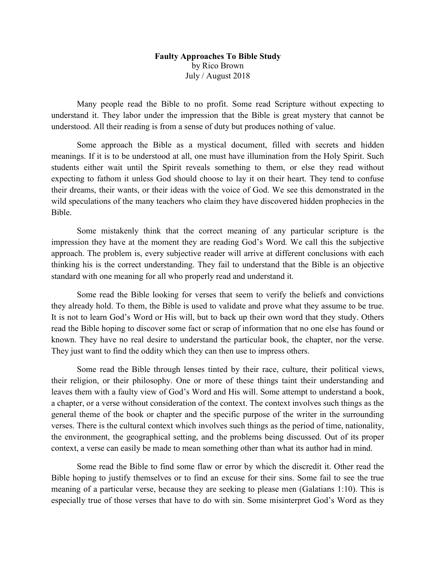## Faulty Approaches To Bible Study by Rico Brown July / August 2018

 Many people read the Bible to no profit. Some read Scripture without expecting to understand it. They labor under the impression that the Bible is great mystery that cannot be understood. All their reading is from a sense of duty but produces nothing of value.

 Some approach the Bible as a mystical document, filled with secrets and hidden meanings. If it is to be understood at all, one must have illumination from the Holy Spirit. Such students either wait until the Spirit reveals something to them, or else they read without expecting to fathom it unless God should choose to lay it on their heart. They tend to confuse their dreams, their wants, or their ideas with the voice of God. We see this demonstrated in the wild speculations of the many teachers who claim they have discovered hidden prophecies in the Bible.

 Some mistakenly think that the correct meaning of any particular scripture is the impression they have at the moment they are reading God's Word. We call this the subjective approach. The problem is, every subjective reader will arrive at different conclusions with each thinking his is the correct understanding. They fail to understand that the Bible is an objective standard with one meaning for all who properly read and understand it.

 Some read the Bible looking for verses that seem to verify the beliefs and convictions they already hold. To them, the Bible is used to validate and prove what they assume to be true. It is not to learn God's Word or His will, but to back up their own word that they study. Others read the Bible hoping to discover some fact or scrap of information that no one else has found or known. They have no real desire to understand the particular book, the chapter, nor the verse. They just want to find the oddity which they can then use to impress others.

 Some read the Bible through lenses tinted by their race, culture, their political views, their religion, or their philosophy. One or more of these things taint their understanding and leaves them with a faulty view of God's Word and His will. Some attempt to understand a book, a chapter, or a verse without consideration of the context. The context involves such things as the general theme of the book or chapter and the specific purpose of the writer in the surrounding verses. There is the cultural context which involves such things as the period of time, nationality, the environment, the geographical setting, and the problems being discussed. Out of its proper context, a verse can easily be made to mean something other than what its author had in mind.

 Some read the Bible to find some flaw or error by which the discredit it. Other read the Bible hoping to justify themselves or to find an excuse for their sins. Some fail to see the true meaning of a particular verse, because they are seeking to please men (Galatians 1:10). This is especially true of those verses that have to do with sin. Some misinterpret God's Word as they